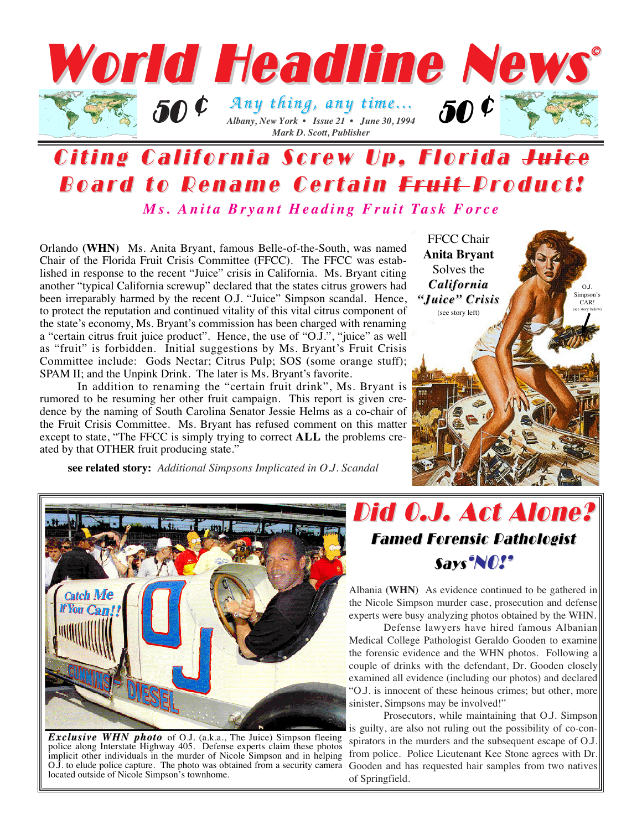

## Citing California Screw Up, Florida Juice Board to Rename Certain Fruit Product! *Ms. Anita Bryant Heading Fruit Task Force*

Orlando **(WHN)** Ms. Anita Bryant, famous Belle-of-the-South, was named Chair of the Florida Fruit Crisis Committee (FFCC). The FFCC was established in response to the recent "Juice" crisis in California. Ms. Bryant citing another "typical California screwup" declared that the states citrus growers had been irreparably harmed by the recent O.J. "Juice" Simpson scandal. Hence, to protect the reputation and continued vitality of this vital citrus component of the state's economy, Ms. Bryant's commission has been charged with renaming a "certain citrus fruit juice product". Hence, the use of "O.J.", "juice" as well as "fruit" is forbidden. Initial suggestions by Ms. Bryant's Fruit Crisis Committee include: Gods Nectar; Citrus Pulp; SOS (some orange stuff); SPAM II; and the Unpink Drink. The later is Ms. Bryant's favorite.

In addition to renaming the "certain fruit drink", Ms. Bryant is rumored to be resuming her other fruit campaign. This report is given credence by the naming of South Carolina Senator Jessie Helms as a co-chair of the Fruit Crisis Committee. Ms. Bryant has refused comment on this matter except to state, "The FFCC is simply trying to correct **ALL** the problems created by that OTHER fruit producing state."

**see related story:** *Additional Simpsons Implicated in O.J. Scandal*





*Exclusive WHN photo Exclusive WHN photo* of O.J. (a.k.a., The Juice) Simpson fleeing police along Interstate Highway 405. Defense experts claim these photos implicit other individuals in the murder of Nicole Simpson and in helping O.J. to elude police capture. The photo was obtained from a security camera located outside of Nicole Simpson's townhome.



Albania **(WHN)** As evidence continued to be gathered in the Nicole Simpson murder case, prosecution and defense experts were busy analyzing photos obtained by the WHN.

Defense lawyers have hired famous Albanian Medical College Pathologist Geraldo Gooden to examine the forensic evidence and the WHN photos. Following a couple of drinks with the defendant, Dr. Gooden closely examined all evidence (including our photos) and declared "O.J. is innocent of these heinous crimes; but other, more sinister, Simpsons may be involved!"

Prosecutors, while maintaining that O.J. Simpson is guilty, are also not ruling out the possibility of co-conspirators in the murders and the subsequent escape of O.J. from police. Police Lieutenant Kee Stone agrees with Dr. Gooden and has requested hair samples from two natives of Springfield.